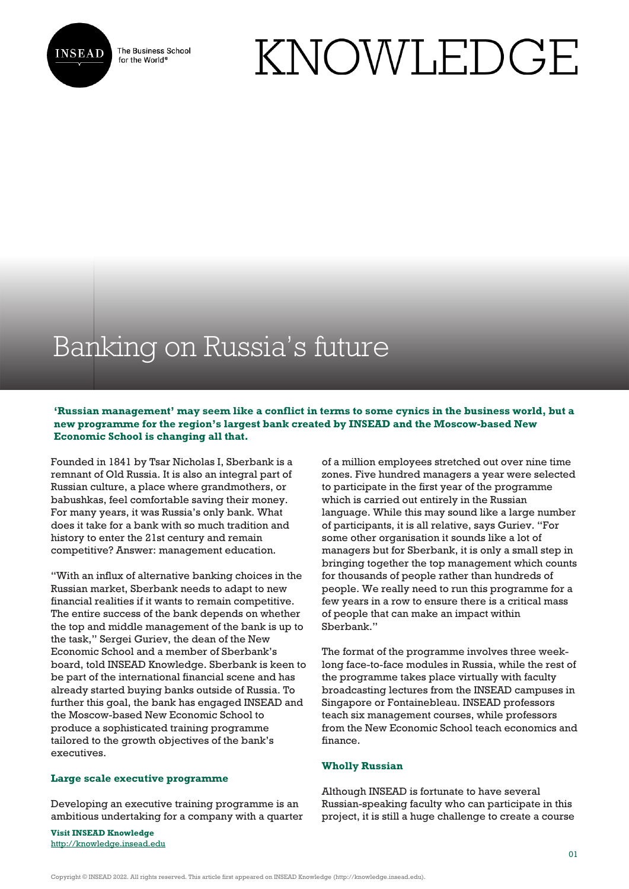

The Business School for the World<sup>®</sup>

# KNOWLEDGE

# Banking on Russia's future

### **'Russian management' may seem like a conflict in terms to some cynics in the business world, but a new programme for the region's largest bank created by INSEAD and the Moscow-based New Economic School is changing all that.**

Founded in 1841 by Tsar Nicholas I, Sberbank is a remnant of Old Russia. It is also an integral part of Russian culture, a place where grandmothers, or babushkas, feel comfortable saving their money. For many years, it was Russia's only bank. What does it take for a bank with so much tradition and history to enter the 21st century and remain competitive? Answer: management education.

"With an influx of alternative banking choices in the Russian market, Sberbank needs to adapt to new financial realities if it wants to remain competitive. The entire success of the bank depends on whether the top and middle management of the bank is up to the task," Sergei Guriev, the dean of the New Economic School and a member of Sberbank's board, told INSEAD Knowledge. Sberbank is keen to be part of the international financial scene and has already started buying banks outside of Russia. To further this goal, the bank has engaged INSEAD and the Moscow-based New Economic School to produce a sophisticated training programme tailored to the growth objectives of the bank's executives.

## **Large scale executive programme**

Developing an executive training programme is an ambitious undertaking for a company with a quarter

**Visit INSEAD Knowledge** <http://knowledge.insead.edu> of a million employees stretched out over nine time zones. Five hundred managers a year were selected to participate in the first year of the programme which is carried out entirely in the Russian language. While this may sound like a large number of participants, it is all relative, says Guriev. "For some other organisation it sounds like a lot of managers but for Sberbank, it is only a small step in bringing together the top management which counts for thousands of people rather than hundreds of people. We really need to run this programme for a few years in a row to ensure there is a critical mass of people that can make an impact within Sberbank."

The format of the programme involves three weeklong face-to-face modules in Russia, while the rest of the programme takes place virtually with faculty broadcasting lectures from the INSEAD campuses in Singapore or Fontainebleau. INSEAD professors teach six management courses, while professors from the New Economic School teach economics and finance.

#### **Wholly Russian**

Although INSEAD is fortunate to have several Russian-speaking faculty who can participate in this project, it is still a huge challenge to create a course

Copyright © INSEAD 2022. All rights reserved. This article first appeared on INSEAD Knowledge (http://knowledge.insead.edu).